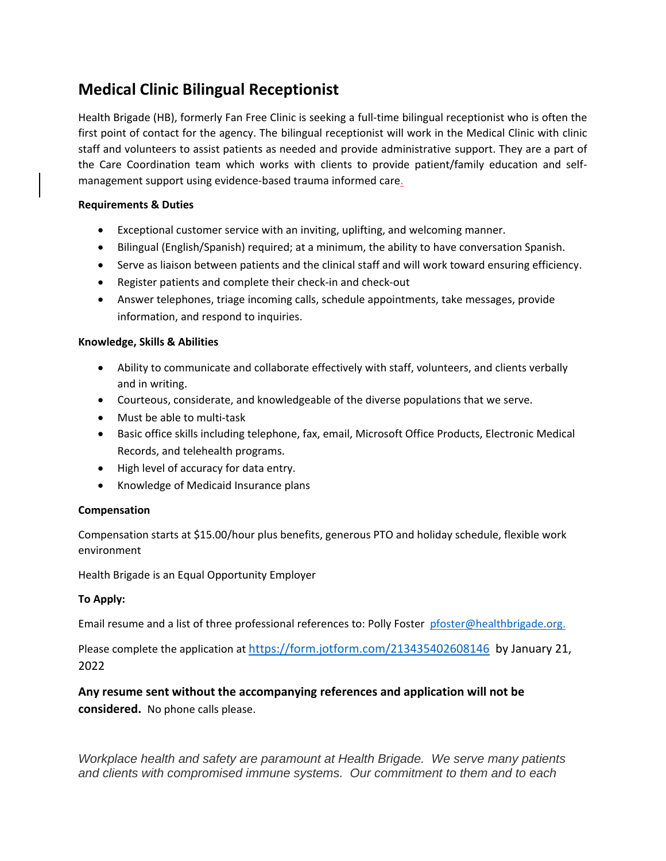# **Medical Clinic Bilingual Receptionist**

Health Brigade (HB), formerly Fan Free Clinic is seeking a full-time bilingual receptionist who is often the first point of contact for the agency. The bilingual receptionist will work in the Medical Clinic with clinic staff and volunteers to assist patients as needed and provide administrative support. They are a part of the Care Coordination team which works with clients to provide patient/family education and selfmanagement support using evidence-based trauma informed care.

## **Requirements & Duties**

- Exceptional customer service with an inviting, uplifting, and welcoming manner.
- Bilingual (English/Spanish) required; at a minimum, the ability to have conversation Spanish.
- Serve as liaison between patients and the clinical staff and will work toward ensuring efficiency.
- Register patients and complete their check-in and check-out
- Answer telephones, triage incoming calls, schedule appointments, take messages, provide information, and respond to inquiries.

### **Knowledge, Skills & Abilities**

- Ability to communicate and collaborate effectively with staff, volunteers, and clients verbally and in writing.
- Courteous, considerate, and knowledgeable of the diverse populations that we serve.
- Must be able to multi-task
- Basic office skills including telephone, fax, email, Microsoft Office Products, Electronic Medical Records, and telehealth programs.
- High level of accuracy for data entry.
- Knowledge of Medicaid Insurance plans

### **Compensation**

Compensation starts at \$15.00/hour plus benefits, generous PTO and holiday schedule, flexible work environment

Health Brigade is an Equal Opportunity Employer

### **To Apply:**

Email resume and a list of three professional references to: Polly Foster [pfoster@healthbrigade.org.](mailto:pfoster@healthbrigade.org)

Please complete the application at <https://form.jotform.com/213435402608146>by January 21, 2022

**Any resume sent without the accompanying references and application will not be considered.** No phone calls please.

*Workplace health and safety are paramount at Health Brigade. We serve many patients and clients with compromised immune systems. Our commitment to them and to each*